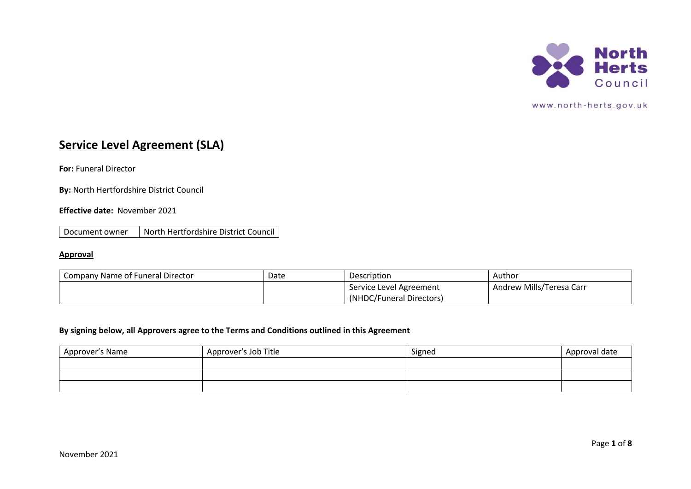

# **Service Level Agreement (SLA)**

**For:** Funeral Director

**By:** North Hertfordshire District Council

# **Effective date:** November 2021

Document owner North Hertfordshire District Council

## **Approval**

| Company Name of Funeral Director | Date | Description              | Author                   |
|----------------------------------|------|--------------------------|--------------------------|
|                                  |      | Service Level Agreement  | Andrew Mills/Teresa Carr |
|                                  |      | (NHDC/Funeral Directors) |                          |

# **By signing below, all Approvers agree to the Terms and Conditions outlined in this Agreement**

| Approver's Name | Approver's Job Title | Signed | Approval date |
|-----------------|----------------------|--------|---------------|
|                 |                      |        |               |
|                 |                      |        |               |
|                 |                      |        |               |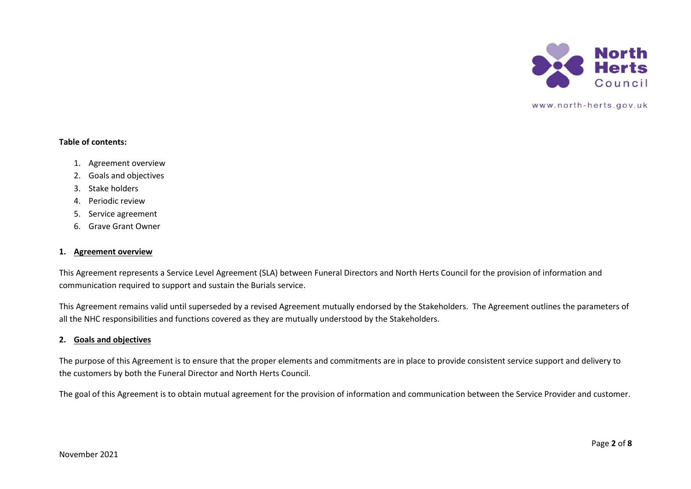

#### **Table of contents:**

- 1. Agreement overview
- 2. Goals and objectives
- 3. Stake holders
- 4. Periodic review
- 5. Service agreement
- 6. Grave Grant Owner

## **1. Agreement overview**

This Agreement represents a Service Level Agreement (SLA) between Funeral Directors and North Herts Council for the provision of information and communication required to support and sustain the Burials service.

This Agreement remains valid until superseded by a revised Agreement mutually endorsed by the Stakeholders. The Agreement outlines the parameters of all the NHC responsibilities and functions covered as they are mutually understood by the Stakeholders.

#### **2. Goals and objectives**

The purpose of this Agreement is to ensure that the proper elements and commitments are in place to provide consistent service support and delivery to the customers by both the Funeral Director and North Herts Council.

The goal of this Agreement is to obtain mutual agreement for the provision of information and communication between the Service Provider and customer.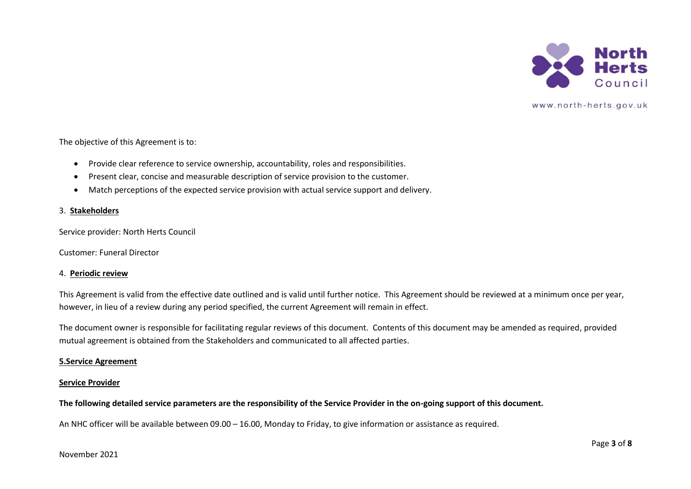

The objective of this Agreement is to:

- Provide clear reference to service ownership, accountability, roles and responsibilities.
- Present clear, concise and measurable description of service provision to the customer.
- Match perceptions of the expected service provision with actual service support and delivery.

#### 3. **Stakeholders**

Service provider: North Herts Council

Customer: Funeral Director

#### 4. **Periodic review**

This Agreement is valid from the effective date outlined and is valid until further notice. This Agreement should be reviewed at a minimum once per year, however, in lieu of a review during any period specified, the current Agreement will remain in effect.

The document owner is responsible for facilitating regular reviews of this document. Contents of this document may be amended as required, provided mutual agreement is obtained from the Stakeholders and communicated to all affected parties.

#### **5.Service Agreement**

#### **Service Provider**

**The following detailed service parameters are the responsibility of the Service Provider in the on-going support of this document.**

An NHC officer will be available between 09.00 – 16.00, Monday to Friday, to give information or assistance as required.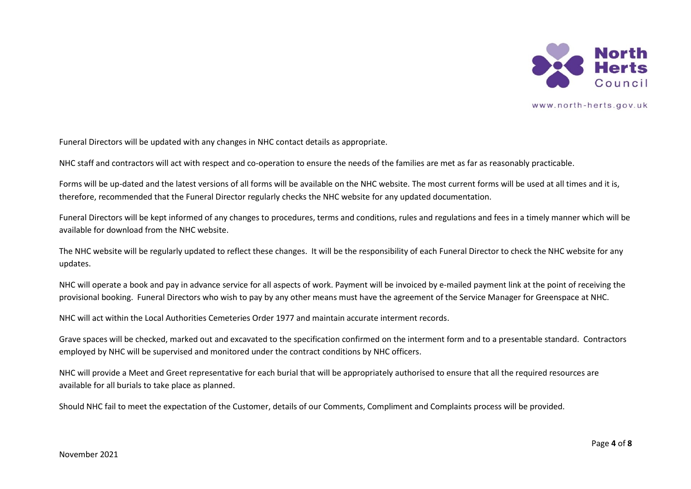

Funeral Directors will be updated with any changes in NHC contact details as appropriate.

NHC staff and contractors will act with respect and co-operation to ensure the needs of the families are met as far as reasonably practicable.

Forms will be up-dated and the latest versions of all forms will be available on the NHC website. The most current forms will be used at all times and it is, therefore, recommended that the Funeral Director regularly checks the NHC website for any updated documentation.

Funeral Directors will be kept informed of any changes to procedures, terms and conditions, rules and regulations and fees in a timely manner which will be available for download from the NHC website.

The NHC website will be regularly updated to reflect these changes. It will be the responsibility of each Funeral Director to check the NHC website for any updates.

NHC will operate a book and pay in advance service for all aspects of work. Payment will be invoiced by e-mailed payment link at the point of receiving the provisional booking. Funeral Directors who wish to pay by any other means must have the agreement of the Service Manager for Greenspace at NHC.

NHC will act within the Local Authorities Cemeteries Order 1977 and maintain accurate interment records.

Grave spaces will be checked, marked out and excavated to the specification confirmed on the interment form and to a presentable standard. Contractors employed by NHC will be supervised and monitored under the contract conditions by NHC officers.

NHC will provide a Meet and Greet representative for each burial that will be appropriately authorised to ensure that all the required resources are available for all burials to take place as planned.

Should NHC fail to meet the expectation of the Customer, details of our Comments, Compliment and Complaints process will be provided.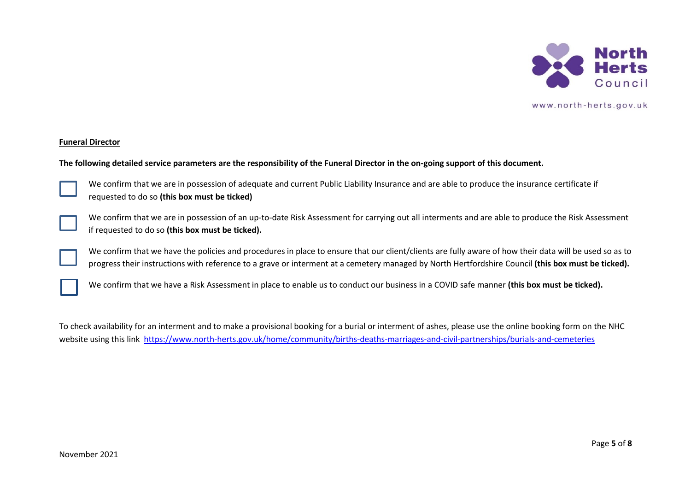

#### **Funeral Director**

#### **The following detailed service parameters are the responsibility of the Funeral Director in the on-going support of this document.**



We confirm that we are in possession of adequate and current Public Liability Insurance and are able to produce the insurance certificate if requested to do so **(this box must be ticked)**



We confirm that we are in possession of an up-to-date Risk Assessment for carrying out all interments and are able to produce the Risk Assessment if requested to do so **(this box must be ticked).**

We confirm that we have the policies and procedures in place to ensure that our client/clients are fully aware of how their data will be used so as to progress their instructions with reference to a grave or interment at a cemetery managed by North Hertfordshire Council **(this box must be ticked).**

We confirm that we have a Risk Assessment in place to enable us to conduct our business in a COVID safe manner **(this box must be ticked).**

To check availability for an interment and to make a provisional booking for a burial or interment of ashes, please use the online booking form on the NHC website using this link <https://www.north-herts.gov.uk/home/community/births-deaths-marriages-and-civil-partnerships/burials-and-cemeteries>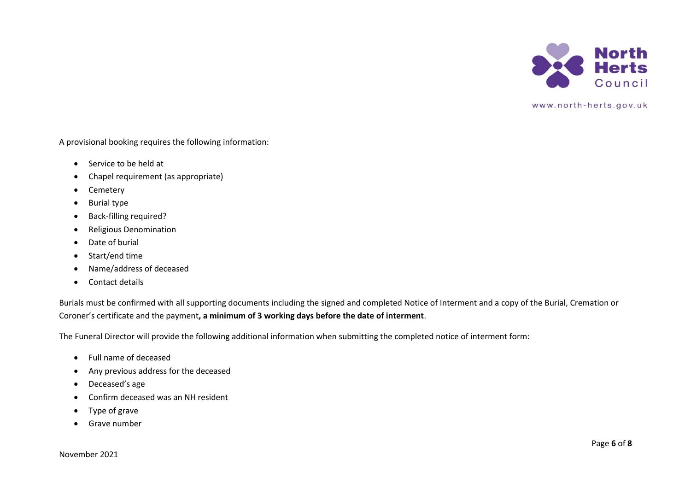

A provisional booking requires the following information:

- Service to be held at
- Chapel requirement (as appropriate)
- Cemetery
- Burial type
- Back-filling required?
- Religious Denomination
- Date of burial
- Start/end time
- Name/address of deceased
- Contact details

Burials must be confirmed with all supporting documents including the signed and completed Notice of Interment and a copy of the Burial, Cremation or Coroner's certificate and the payment**, a minimum of 3 working days before the date of interment**.

The Funeral Director will provide the following additional information when submitting the completed notice of interment form:

- Full name of deceased
- Any previous address for the deceased
- Deceased's age
- Confirm deceased was an NH resident
- Type of grave
- Grave number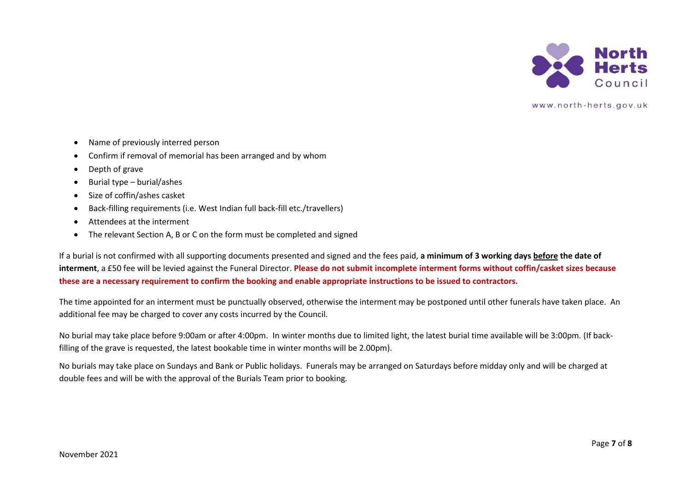

- Name of previously interred person
- Confirm if removal of memorial has been arranged and by whom
- Depth of grave
- Burial type burial/ashes
- Size of coffin/ashes casket
- Back-filling requirements (i.e. West Indian full back-fill etc./travellers)
- Attendees at the interment
- The relevant Section A, B or C on the form must be completed and signed

If a burial is not confirmed with all supporting documents presented and signed and the fees paid, **a minimum of 3 working days before the date of interment**, a £50 fee will be levied against the Funeral Director. **Please do not submit incomplete interment forms without coffin/casket sizes because these are a necessary requirement to confirm the booking and enable appropriate instructions to be issued to contractors.**

The time appointed for an interment must be punctually observed, otherwise the interment may be postponed until other funerals have taken place. An additional fee may be charged to cover any costs incurred by the Council.

No burial may take place before 9:00am or after 4:00pm. In winter months due to limited light, the latest burial time available will be 3:00pm. (If backfilling of the grave is requested, the latest bookable time in winter months will be 2.00pm).

No burials may take place on Sundays and Bank or Public holidays. Funerals may be arranged on Saturdays before midday only and will be charged at double fees and will be with the approval of the Burials Team prior to booking.